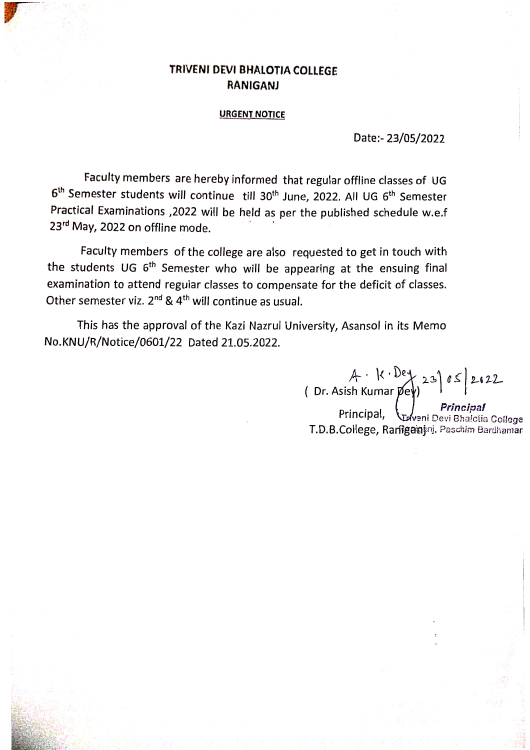## TRIVENI DEVI BHALOTIA COLLEGE **RANIGANJ**

## **URGENT NOTICE**

Date:- 23/05/2022

Faculty members are hereby informed that regular offline classes of UG 6<sup>th</sup> Semester students will continue till 30<sup>th</sup> June, 2022. All UG 6<sup>th</sup> Semester Practical Examinations , 2022 will be held as per the published schedule w.e.f 23rd May, 2022 on offline mode.

Faculty members of the college are also requested to get in touch with the students UG 6<sup>th</sup> Semester who will be appearing at the ensuing final examination to attend regular classes to compensate for the deficit of classes. Other semester viz. 2<sup>nd</sup> & 4<sup>th</sup> will continue as usual.

This has the approval of the Kazi Nazrul University, Asansol in its Memo No.KNU/R/Notice/0601/22 Dated 21.05.2022.

A  $k \cdot \frac{e}{23}$   $\int_0^2$  23  $\int_0^2$  2622<br>(Dr. Asish Kumar pey)<br>Principal, Principal Principal

T.D.B.College, Raniganini, Paschim Bardhaman